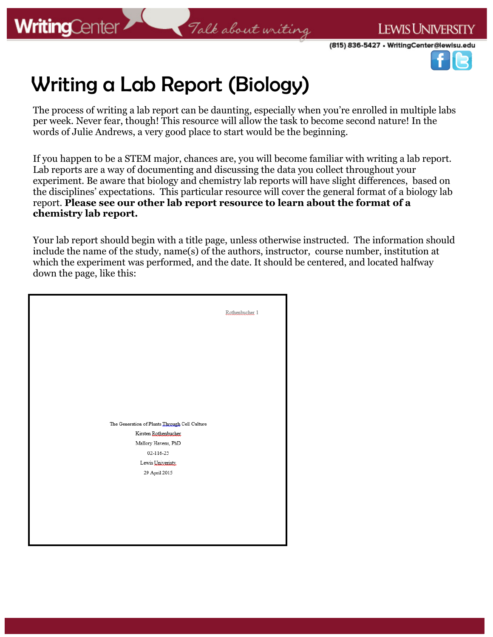**LEWIS UNIVERSITY** 



# Writing a Lab Report (Biology)

The process of writing a lab report can be daunting, especially when you're enrolled in multiple labs per week. Never fear, though! This resource will allow the task to become second nature! In the words of Julie Andrews, a very good place to start would be the beginning.

If you happen to be a STEM major, chances are, you will become familiar with writing a lab report. Lab reports are a way of documenting and discussing the data you collect throughout your experiment. Be aware that biology and chemistry lab reports will have slight differences, based on the disciplines' expectations. This particular resource will cover the general format of a biology lab report. **Please see our other lab report resource to learn about the format of a chemistry lab report.** 

Your lab report should begin with a title page, unless otherwise instructed. The information should include the name of the study, name(s) of the authors, instructor, course number, institution at which the experiment was performed, and the date. It should be centered, and located halfway down the page, like this:

|                                               | Rothenbucher 1 |
|-----------------------------------------------|----------------|
|                                               |                |
|                                               |                |
|                                               |                |
|                                               |                |
|                                               |                |
|                                               |                |
|                                               |                |
| The Generation of Plants Through Cell Culture |                |
| Kirsten Rothenbucher                          |                |
| Mallory Havens, PhD                           |                |
| 02-116-25                                     |                |
| Lewis Univeristy.                             |                |
| 29 April 2015                                 |                |
|                                               |                |
|                                               |                |
|                                               |                |
|                                               |                |
|                                               |                |
|                                               |                |
|                                               |                |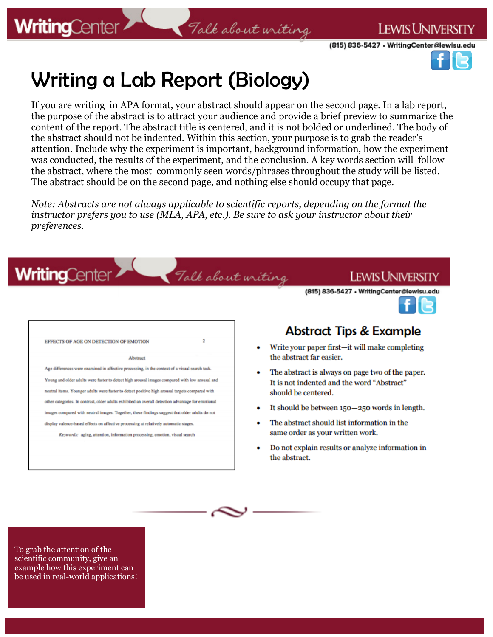**WritingCenter** 

#### **LEWIS UNIVERSITY**

(815) 836-5427 • WritingCenter@lewisu.edu

# Writing a Lab Report (Biology)

If you are writing in APA format, your abstract should appear on the second page. In a lab report, the purpose of the abstract is to attract your audience and provide a brief preview to summarize the content of the report. The abstract title is centered, and it is not bolded or underlined. The body of the abstract should not be indented. Within this section, your purpose is to grab the reader's attention. Include why the experiment is important, background information, how the experiment was conducted, the results of the experiment, and the conclusion. A key words section will follow the abstract, where the most commonly seen words/phrases throughout the study will be listed. The abstract should be on the second page, and nothing else should occupy that page.

Talk about writing

*Note: Abstracts are not always applicable to scientific reports, depending on the format the instructor prefers you to use (MLA, APA, etc.). Be sure to ask your instructor about their preferences.* 

Talk about writing

| EFFECTS OF AGE ON DETECTION OF EMOTION                                                             | 2 |
|----------------------------------------------------------------------------------------------------|---|
| <b>Abstract</b>                                                                                    |   |
| Age differences were examined in affective processing, in the context of a visual search task.     |   |
| Young and older adults were faster to detect high arousal images compared with low arousal and     |   |
| neutral items. Younger adults were faster to detect positive high arousal targets compared with    |   |
| other categories. In contrast, older adults exhibited an overall detection advantage for emotional |   |
| images compared with neutral images. Together, these findings suggest that older adults do not     |   |
| display valence-based effects on affective processing at relatively automatic stages.              |   |
| Keywords: aging, attention, information processing, emotion, visual search                         |   |

### **Abstract Tips & Example**

(815) 836-5427 • WritingCenter@lewisu.edu

Lewis University

- Write your paper first-it will make completing the abstract far easier.
- The abstract is always on page two of the paper. It is not indented and the word "Abstract" should be centered.
- It should be between 150-250 words in length.
- The abstract should list information in the same order as your written work.
- Do not explain results or analyze information in the abstract.

To grab the attention of the scientific community, give an example how this experiment can be used in real-world applications!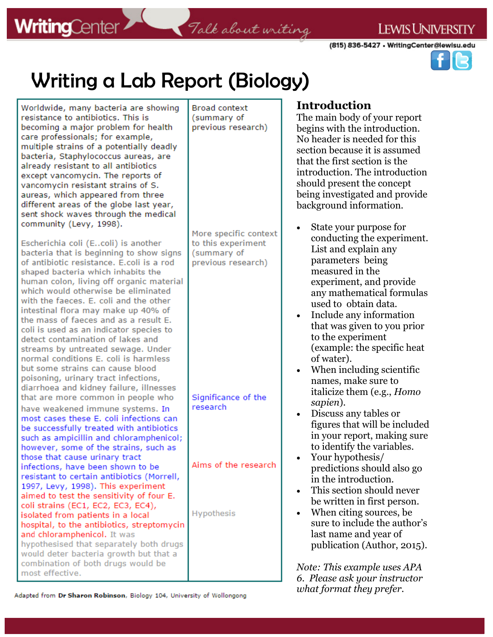(815) 836-5427 • WritingCenter@lewisu.edu

what format they prefer.



# **Writing a Lab Report (Biology)**

| Worldwide, many bacteria are showing<br>resistance to antibiotics. This is<br>becoming a major problem for health<br>care professionals; for example,<br>multiple strains of a potentially deadly<br>bacteria, Staphylococcus aureas, are<br>already resistant to all antibiotics<br>except vancomycin. The reports of<br>vancomycin resistant strains of S.<br>aureas, which appeared from three<br>different areas of the globe last year,<br>sent shock waves through the medical<br>community (Levy, 1998).                                                                                                                                                       | <b>Broad context</b><br>(summary of<br>previous research)<br>More specific context | <b>Introduction</b><br>The main body of your report<br>begins with the introduction.<br>No header is needed for this<br>section because it is assumed<br>that the first section is the<br>introduction. The introduction<br>should present the concept<br>being investigated and provide<br>background information.<br>State your purpose for                                            |
|-----------------------------------------------------------------------------------------------------------------------------------------------------------------------------------------------------------------------------------------------------------------------------------------------------------------------------------------------------------------------------------------------------------------------------------------------------------------------------------------------------------------------------------------------------------------------------------------------------------------------------------------------------------------------|------------------------------------------------------------------------------------|------------------------------------------------------------------------------------------------------------------------------------------------------------------------------------------------------------------------------------------------------------------------------------------------------------------------------------------------------------------------------------------|
| Escherichia coli (Ecoli) is another<br>bacteria that is beginning to show signs<br>of antibiotic resistance. E.coli is a rod<br>shaped bacteria which inhabits the<br>human colon, living off organic material<br>which would otherwise be eliminated<br>with the faeces. E. coli and the other<br>intestinal flora may make up 40% of<br>the mass of faeces and as a result E.<br>coli is used as an indicator species to<br>detect contamination of lakes and<br>streams by untreated sewage. Under<br>normal conditions E. coli is harmless<br>but some strains can cause blood<br>poisoning, urinary tract infections,<br>diarrhoea and kidney failure, illnesses | to this experiment<br>(summary of<br>previous research)                            | conducting the experiment.<br>List and explain any<br>parameters being<br>measured in the<br>experiment, and provide<br>any mathematical formulas<br>used to obtain data.<br>Include any information<br>that was given to you prior<br>to the experiment<br>(example: the specific heat)<br>of water).<br>When including scientific<br>names, make sure to<br>italicize them (e.g., Homo |
| that are more common in people who<br>have weakened immune systems. In<br>most cases these E. coli infections can<br>be successfully treated with antibiotics<br>such as ampicillin and chloramphenicol;<br>however, some of the strains, such as<br>those that cause urinary tract<br>infections, have been shown to be                                                                                                                                                                                                                                                                                                                                              | Significance of the<br>research<br>Aims of the research                            | sapien).<br>Discuss any tables or<br>figures that will be included<br>in your report, making sure<br>to identify the variables.<br>Your hypothesis/<br>predictions should also go                                                                                                                                                                                                        |
| resistant to certain antibiotics (Morrell,<br>1997, Levy, 1998). This experiment<br>aimed to test the sensitivity of four E.<br>coli strains (EC1, EC2, EC3, EC4),<br>isolated from patients in a local<br>hospital, to the antibiotics, streptomycin<br>and chloramphenicol. It was<br>hypothesised that separately both drugs<br>would deter bacteria growth but that a<br>combination of both drugs would be<br>most effective.                                                                                                                                                                                                                                    | Hypothesis                                                                         | in the introduction.<br>This section should never<br>be written in first person.<br>When citing sources, be.<br>sure to include the author's<br>last name and year of<br>publication (Author, 2015).<br>Note: This example uses APA<br>6. Please ask your instructor                                                                                                                     |

Adapted from Dr Sharon Robinson, Biology 104, University of Wollongong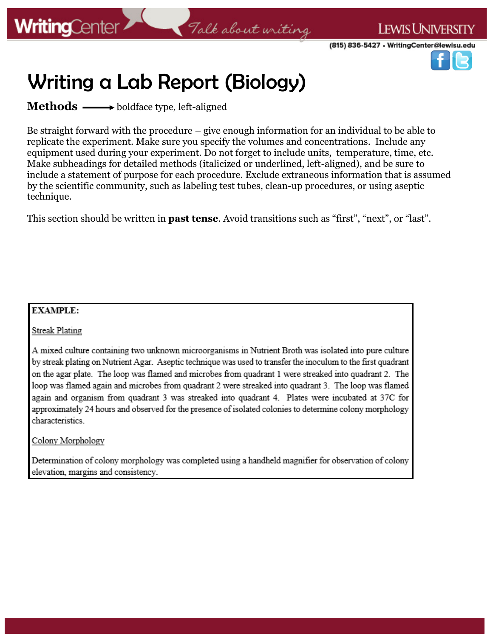### Talk about writing

(815) 836-5427 • WritingCenter@lewisu.edu

**LEWIS UNIVERSITY** 



## Writing a Lab Report (Biology)

**Methods** boldface type, left-aligned

Be straight forward with the procedure – give enough information for an individual to be able to replicate the experiment. Make sure you specify the volumes and concentrations. Include any equipment used during your experiment. Do not forget to include units, temperature, time, etc. Make subheadings for detailed methods (italicized or underlined, left-aligned), and be sure to include a statement of purpose for each procedure. Exclude extraneous information that is assumed by the scientific community, such as labeling test tubes, clean-up procedures, or using aseptic technique.

This section should be written in **past tense**. Avoid transitions such as "first", "next", or "last".

#### **EXAMPLE:**

Streak Plating

A mixed culture containing two unknown microorganisms in Nutrient Broth was isolated into pure culture by streak plating on Nutrient Agar. Aseptic technique was used to transfer the inoculum to the first quadrant on the agar plate. The loop was flamed and microbes from quadrant 1 were streaked into quadrant 2. The loop was flamed again and microbes from quadrant 2 were streaked into quadrant 3. The loop was flamed again and organism from quadrant 3 was streaked into quadrant 4. Plates were incubated at 37C for approximately 24 hours and observed for the presence of isolated colonies to determine colony morphology characteristics.

#### Colony Morphology

Determination of colony morphology was completed using a handheld magnifier for observation of colony elevation, margins and consistency.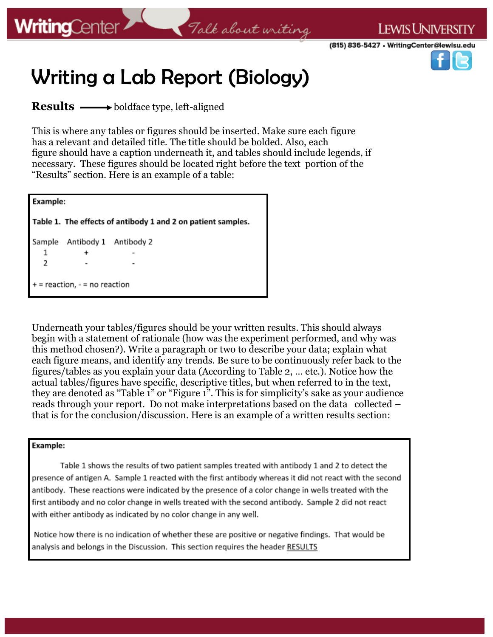### Talk about writing

(815) 836-5427 • WritingCenter@lewisu.edu

**LEWIS UNIVERSITY** 



# Writing a Lab Report (Biology)

**Results** — boldface type, left-aligned

This is where any tables or figures should be inserted. Make sure each figure has a relevant and detailed title. The title should be bolded. Also, each figure should have a caption underneath it, and tables should include legends, if necessary. These figures should be located right before the text portion of the "Results" section. Here is an example of a table:

| <b>Example:</b>                                              |                       |  |  |  |
|--------------------------------------------------------------|-----------------------|--|--|--|
| Table 1. The effects of antibody 1 and 2 on patient samples. |                       |  |  |  |
| Sample                                                       | Antibody 1 Antibody 2 |  |  |  |
| 1                                                            |                       |  |  |  |
| 2                                                            |                       |  |  |  |
| $+=$ reaction, $-$ = no reaction                             |                       |  |  |  |

Underneath your tables/figures should be your written results. This should always begin with a statement of rationale (how was the experiment performed, and why was this method chosen?). Write a paragraph or two to describe your data; explain what each figure means, and identify any trends. Be sure to be continuously refer back to the figures/tables as you explain your data (According to Table 2, … etc.). Notice how the actual tables/figures have specific, descriptive titles, but when referred to in the text, they are denoted as "Table 1" or "Figure 1". This is for simplicity's sake as your audience reads through your report. Do not make interpretations based on the data collected – that is for the conclusion/discussion. Here is an example of a written results section:

#### Example:

Table 1 shows the results of two patient samples treated with antibody 1 and 2 to detect the presence of antigen A. Sample 1 reacted with the first antibody whereas it did not react with the second antibody. These reactions were indicated by the presence of a color change in wells treated with the first antibody and no color change in wells treated with the second antibody. Sample 2 did not react with either antibody as indicated by no color change in any well.

Notice how there is no indication of whether these are positive or negative findings. That would be analysis and belongs in the Discussion. This section requires the header RESULTS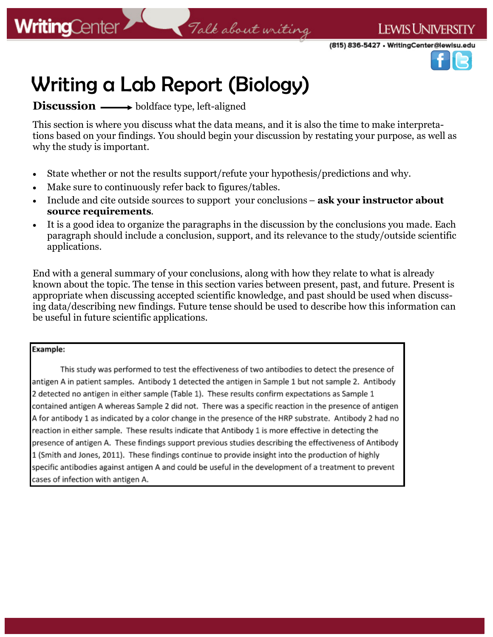

# Writing a Lab Report (Biology)

**Discussion** — boldface type, left-aligned

This section is where you discuss what the data means, and it is also the time to make interpretations based on your findings. You should begin your discussion by restating your purpose, as well as why the study is important.

- State whether or not the results support/refute your hypothesis/predictions and why.
- Make sure to continuously refer back to figures/tables.
- Include and cite outside sources to support your conclusions **ask your instructor about source requirements**.
- It is a good idea to organize the paragraphs in the discussion by the conclusions you made. Each paragraph should include a conclusion, support, and its relevance to the study/outside scientific applications.

End with a general summary of your conclusions, along with how they relate to what is already known about the topic. The tense in this section varies between present, past, and future. Present is appropriate when discussing accepted scientific knowledge, and past should be used when discussing data/describing new findings. Future tense should be used to describe how this information can be useful in future scientific applications.

#### Example:

This study was performed to test the effectiveness of two antibodies to detect the presence of antigen A in patient samples. Antibody 1 detected the antigen in Sample 1 but not sample 2. Antibody 2 detected no antigen in either sample (Table 1). These results confirm expectations as Sample 1 contained antigen A whereas Sample 2 did not. There was a specific reaction in the presence of antigen A for antibody 1 as indicated by a color change in the presence of the HRP substrate. Antibody 2 had no reaction in either sample. These results indicate that Antibody 1 is more effective in detecting the presence of antigen A. These findings support previous studies describing the effectiveness of Antibody 1 (Smith and Jones, 2011). These findings continue to provide insight into the production of highly specific antibodies against antigen A and could be useful in the development of a treatment to prevent cases of infection with antigen A.